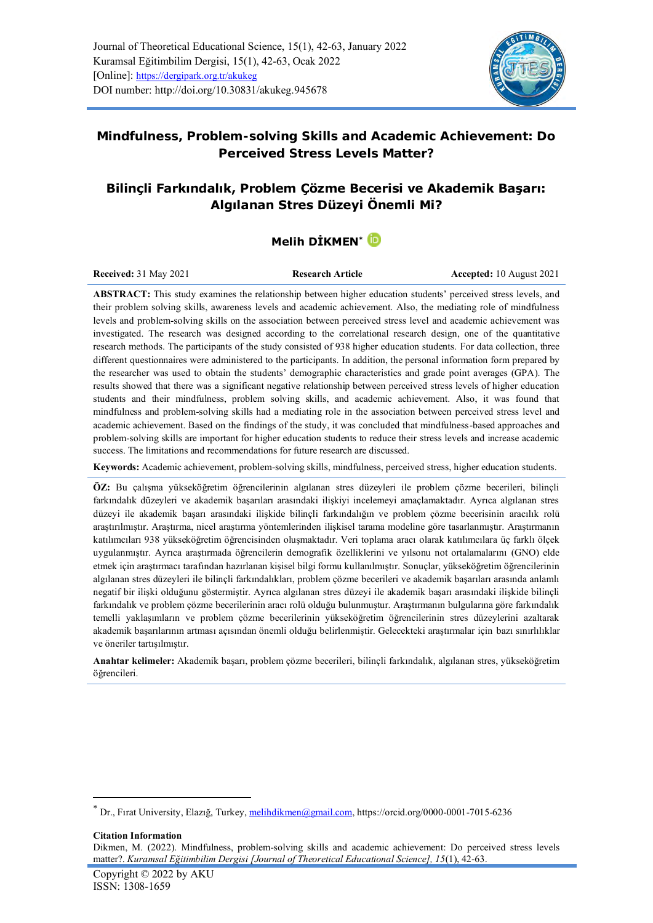

# **Mindfulness, Problem-solving Skills and Academic Achievement: Do Perceived Stress Levels Matter?**

# **Bilinçli Farkındalık, Problem Çözme Becerisi ve Akademik Başarı: Algılanan Stres Düzeyi Önemli Mi?**

# **Melih DİKMEN\***

**Received:** 31 May 2021 **Research Article Accepted:** 10 August 2021

**ABSTRACT:** This study examines the relationship between higher education students' perceived stress levels, and their problem solving skills, awareness levels and academic achievement. Also, the mediating role of mindfulness levels and problem-solving skills on the association between perceived stress level and academic achievement was investigated. The research was designed according to the correlational research design, one of the quantitative research methods. The participants of the study consisted of 938 higher education students. For data collection, three different questionnaires were administered to the participants. In addition, the personal information form prepared by the researcher was used to obtain the students' demographic characteristics and grade point averages (GPA). The results showed that there was a significant negative relationship between perceived stress levels of higher education students and their mindfulness, problem solving skills, and academic achievement. Also, it was found that mindfulness and problem-solving skills had a mediating role in the association between perceived stress level and academic achievement. Based on the findings of the study, it was concluded that mindfulness-based approaches and problem-solving skills are important for higher education students to reduce their stress levels and increase academic success. The limitations and recommendations for future research are discussed.

**Keywords:** Academic achievement, problem-solving skills, mindfulness, perceived stress, higher education students.

**ÖZ:** Bu çalışma yükseköğretim öğrencilerinin algılanan stres düzeyleri ile problem çözme becerileri, bilinçli farkındalık düzeyleri ve akademik başarıları arasındaki ilişkiyi incelemeyi amaçlamaktadır. Ayrıca algılanan stres düzeyi ile akademik başarı arasındaki ilişkide bilinçli farkındalığın ve problem çözme becerisinin aracılık rolü araştırılmıştır. Araştırma, nicel araştırma yöntemlerinden ilişkisel tarama modeline göre tasarlanmıştır. Araştırmanın katılımcıları 938 yükseköğretim öğrencisinden oluşmaktadır. Veri toplama aracı olarak katılımcılara üç farklı ölçek uygulanmıştır. Ayrıca araştırmada öğrencilerin demografik özelliklerini ve yılsonu not ortalamalarını (GNO) elde etmek için araştırmacı tarafından hazırlanan kişisel bilgi formu kullanılmıştır. Sonuçlar, yükseköğretim öğrencilerinin algılanan stres düzeyleri ile bilinçli farkındalıkları, problem çözme becerileri ve akademik başarıları arasında anlamlı negatif bir ilişki olduğunu göstermiştir. Ayrıca algılanan stres düzeyi ile akademik başarı arasındaki ilişkide bilinçli farkındalık ve problem çözme becerilerinin aracı rolü olduğu bulunmuştur. Araştırmanın bulgularına göre farkındalık temelli yaklaşımların ve problem çözme becerilerinin yükseköğretim öğrencilerinin stres düzeylerini azaltarak akademik başarılarının artması açısından önemli olduğu belirlenmiştir. Gelecekteki araştırmalar için bazı sınırlılıklar ve öneriler tartışılmıştır.

**Anahtar kelimeler:** Akademik başarı, problem çözme becerileri, bilinçli farkındalık, algılanan stres, yükseköğretim öğrencileri.

**Citation Information** Dikmen, M. (2022). Mindfulness, problem-solving skills and academic achievement: Do perceived stress levels matter?. *Kuramsal Eğitimbilim Dergisi [Journal of Theoretical Educational Science], 15*(1), 42-63.

<sup>\*</sup> Dr., Fırat University, Elazığ, Turkey[, melihdikmen@gmail.com,](mailto:melihdikmen@gmail.com)<https://orcid.org/0000-0001-7015-6236>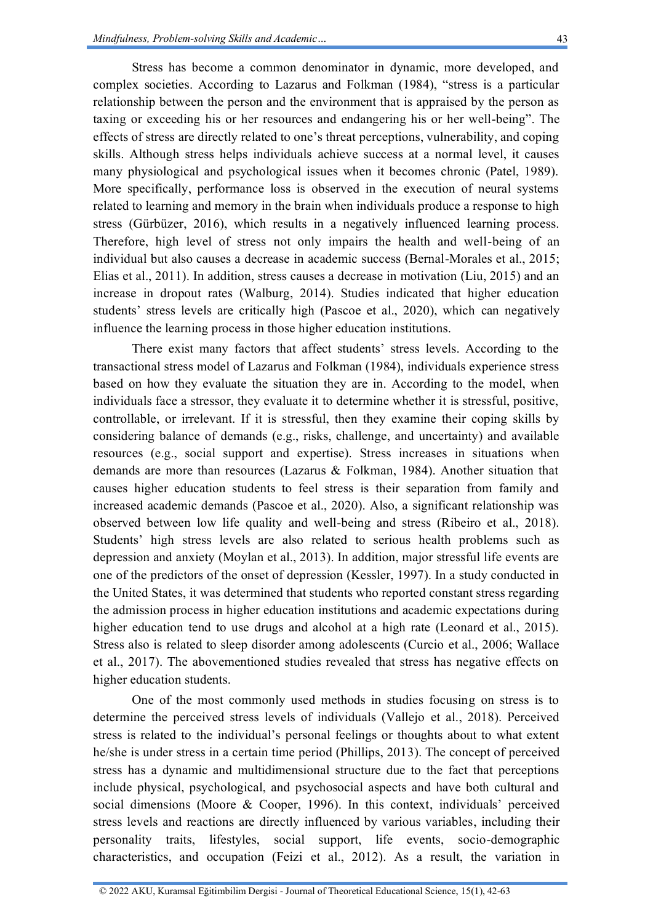Stress has become a common denominator in dynamic, more developed, and complex societies. According to Lazarus and Folkman (1984), "stress is a particular relationship between the person and the environment that is appraised by the person as taxing or exceeding his or her resources and endangering his or her well-being". The effects of stress are directly related to one's threat perceptions, vulnerability, and coping skills. Although stress helps individuals achieve success at a normal level, it causes many physiological and psychological issues when it becomes chronic (Patel, 1989). More specifically, performance loss is observed in the execution of neural systems related to learning and memory in the brain when individuals produce a response to high stress (Gürbüzer, 2016), which results in a negatively influenced learning process. Therefore, high level of stress not only impairs the health and well-being of an individual but also causes a decrease in academic success (Bernal-Morales et al., 2015; Elias et al., 2011). In addition, stress causes a decrease in motivation (Liu, 2015) and an increase in dropout rates (Walburg, 2014). Studies indicated that higher education students' stress levels are critically high (Pascoe et al., 2020), which can negatively influence the learning process in those higher education institutions.

There exist many factors that affect students' stress levels. According to the transactional stress model of Lazarus and Folkman (1984), individuals experience stress based on how they evaluate the situation they are in. According to the model, when individuals face a stressor, they evaluate it to determine whether it is stressful, positive, controllable, or irrelevant. If it is stressful, then they examine their coping skills by considering balance of demands (e.g., risks, challenge, and uncertainty) and available resources (e.g., social support and expertise). Stress increases in situations when demands are more than resources (Lazarus & Folkman, 1984). Another situation that causes higher education students to feel stress is their separation from family and increased academic demands (Pascoe et al., 2020). Also, a significant relationship was observed between low life quality and well-being and stress (Ribeiro et al., 2018). Students' high stress levels are also related to serious health problems such as depression and anxiety (Moylan et al., 2013). In addition, major stressful life events are one of the predictors of the onset of depression (Kessler, 1997). In a study conducted in the United States, it was determined that students who reported constant stress regarding the admission process in higher education institutions and academic expectations during higher education tend to use drugs and alcohol at a high rate (Leonard et al., 2015). Stress also is related to sleep disorder among adolescents (Curcio et al., 2006; Wallace et al., 2017). The abovementioned studies revealed that stress has negative effects on higher education students.

One of the most commonly used methods in studies focusing on stress is to determine the perceived stress levels of individuals (Vallejo et al., 2018). Perceived stress is related to the individual's personal feelings or thoughts about to what extent he/she is under stress in a certain time period (Phillips, 2013). The concept of perceived stress has a dynamic and multidimensional structure due to the fact that perceptions include physical, psychological, and psychosocial aspects and have both cultural and social dimensions (Moore & Cooper, 1996). In this context, individuals' perceived stress levels and reactions are directly influenced by various variables, including their personality traits, lifestyles, social support, life events, socio-demographic characteristics, and occupation (Feizi et al., 2012). As a result, the variation in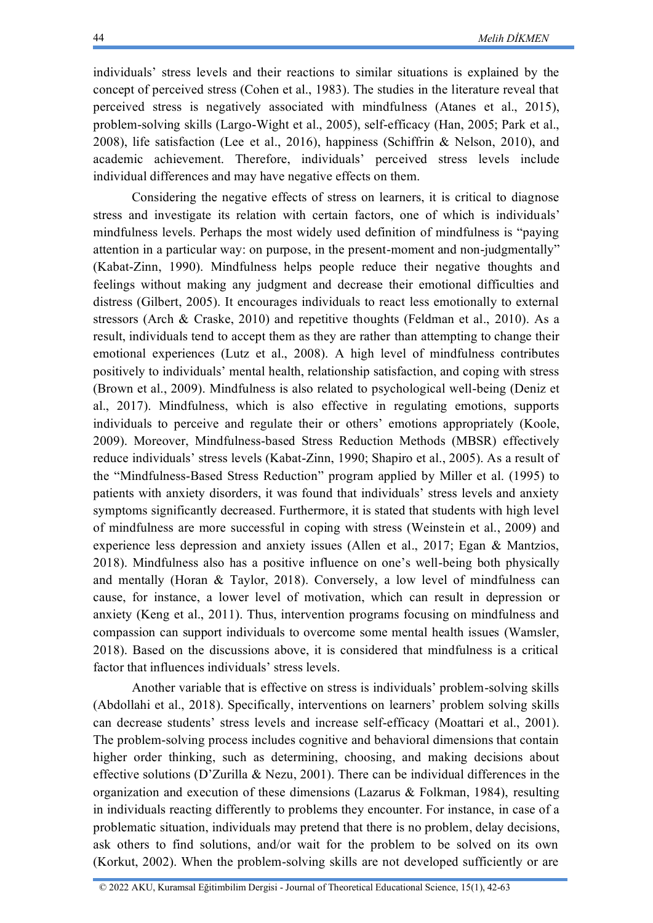individuals' stress levels and their reactions to similar situations is explained by the concept of perceived stress (Cohen et al., 1983). The studies in the literature reveal that perceived stress is negatively associated with mindfulness (Atanes et al., 2015), problem-solving skills (Largo-Wight et al., 2005), self-efficacy (Han, 2005; Park et al., 2008), life satisfaction (Lee et al., 2016), happiness (Schiffrin & Nelson, 2010), and academic achievement. Therefore, individuals' perceived stress levels include individual differences and may have negative effects on them.

Considering the negative effects of stress on learners, it is critical to diagnose stress and investigate its relation with certain factors, one of which is individuals' mindfulness levels. Perhaps the most widely used definition of mindfulness is "paying attention in a particular way: on purpose, in the present-moment and non-judgmentally" (Kabat-Zinn, 1990). Mindfulness helps people reduce their negative thoughts and feelings without making any judgment and decrease their emotional difficulties and distress (Gilbert, 2005). It encourages individuals to react less emotionally to external stressors (Arch & Craske, 2010) and repetitive thoughts (Feldman et al., 2010). As a result, individuals tend to accept them as they are rather than attempting to change their emotional experiences (Lutz et al., 2008). A high level of mindfulness contributes positively to individuals' mental health, relationship satisfaction, and coping with stress (Brown et al., 2009). Mindfulness is also related to psychological well-being (Deniz et al., 2017). Mindfulness, which is also effective in regulating emotions, supports individuals to perceive and regulate their or others' emotions appropriately (Koole, 2009). Moreover, Mindfulness-based Stress Reduction Methods (MBSR) effectively reduce individuals' stress levels (Kabat-Zinn, 1990; Shapiro et al., 2005). As a result of the "Mindfulness-Based Stress Reduction" program applied by Miller et al. (1995) to patients with anxiety disorders, it was found that individuals' stress levels and anxiety symptoms significantly decreased. Furthermore, it is stated that students with high level of mindfulness are more successful in coping with stress (Weinstein et al., 2009) and experience less depression and anxiety issues (Allen et al., 2017; Egan & Mantzios, 2018). Mindfulness also has a positive influence on one's well-being both physically and mentally (Horan & Taylor, 2018). Conversely, a low level of mindfulness can cause, for instance, a lower level of motivation, which can result in depression or anxiety (Keng et al., 2011). Thus, intervention programs focusing on mindfulness and compassion can support individuals to overcome some mental health issues (Wamsler, 2018). Based on the discussions above, it is considered that mindfulness is a critical factor that influences individuals' stress levels.

Another variable that is effective on stress is individuals' problem-solving skills (Abdollahi et al., 2018). Specifically, interventions on learners' problem solving skills can decrease students' stress levels and increase self-efficacy (Moattari et al., 2001). The problem-solving process includes cognitive and behavioral dimensions that contain higher order thinking, such as determining, choosing, and making decisions about effective solutions (D'Zurilla & Nezu, 2001). There can be individual differences in the organization and execution of these dimensions (Lazarus & Folkman, 1984), resulting in individuals reacting differently to problems they encounter. For instance, in case of a problematic situation, individuals may pretend that there is no problem, delay decisions, ask others to find solutions, and/or wait for the problem to be solved on its own (Korkut, 2002). When the problem-solving skills are not developed sufficiently or are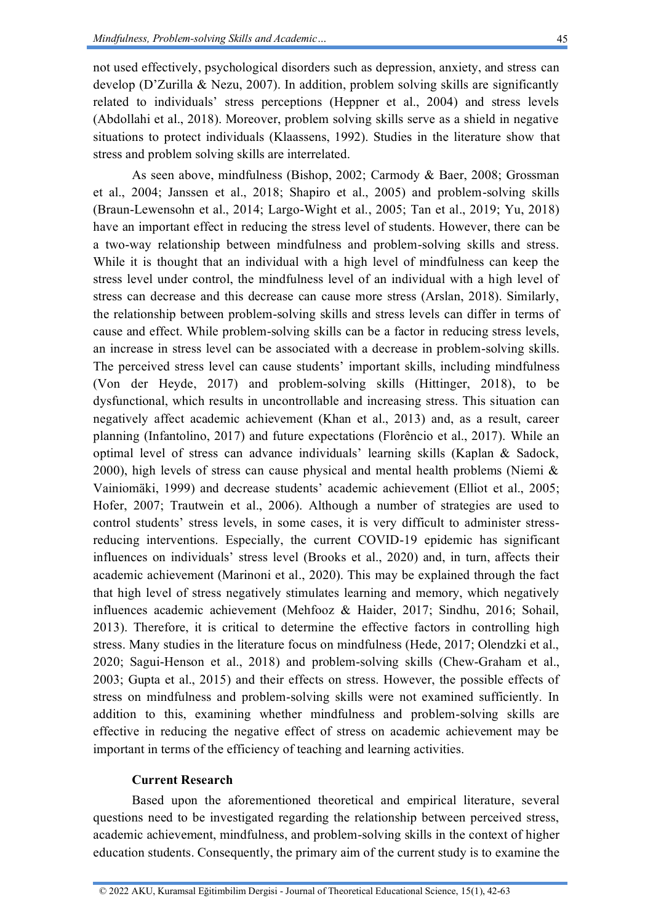not used effectively, psychological disorders such as depression, anxiety, and stress can develop (D'Zurilla & Nezu, 2007). In addition, problem solving skills are significantly related to individuals' stress perceptions (Heppner et al., 2004) and stress levels (Abdollahi et al., 2018). Moreover, problem solving skills serve as a shield in negative situations to protect individuals (Klaassens, 1992). Studies in the literature show that stress and problem solving skills are interrelated.

As seen above, mindfulness (Bishop, 2002; Carmody & Baer, 2008; Grossman et al., 2004; Janssen et al., 2018; Shapiro et al., 2005) and problem-solving skills (Braun-Lewensohn et al., 2014; Largo-Wight et al., 2005; Tan et al., 2019; Yu, 2018) have an important effect in reducing the stress level of students. However, there can be a two-way relationship between mindfulness and problem-solving skills and stress. While it is thought that an individual with a high level of mindfulness can keep the stress level under control, the mindfulness level of an individual with a high level of stress can decrease and this decrease can cause more stress (Arslan, 2018). Similarly, the relationship between problem-solving skills and stress levels can differ in terms of cause and effect. While problem-solving skills can be a factor in reducing stress levels, an increase in stress level can be associated with a decrease in problem-solving skills. The perceived stress level can cause students' important skills, including mindfulness (Von der Heyde, 2017) and problem-solving skills (Hittinger, 2018), to be dysfunctional, which results in uncontrollable and increasing stress. This situation can negatively affect academic achievement (Khan et al., 2013) and, as a result, career planning (Infantolino, 2017) and future expectations (Florêncio et al., 2017). While an optimal level of stress can advance individuals' learning skills (Kaplan & Sadock, 2000), high levels of stress can cause physical and mental health problems (Niemi & Vainiomäki, 1999) and decrease students' academic achievement (Elliot et al., 2005; Hofer, 2007; Trautwein et al., 2006). Although a number of strategies are used to control students' stress levels, in some cases, it is very difficult to administer stressreducing interventions. Especially, the current COVID-19 epidemic has significant influences on individuals' stress level (Brooks et al., 2020) and, in turn, affects their academic achievement (Marinoni et al., 2020). This may be explained through the fact that high level of stress negatively stimulates learning and memory, which negatively influences academic achievement (Mehfooz & Haider, 2017; Sindhu, 2016; Sohail, 2013). Therefore, it is critical to determine the effective factors in controlling high stress. Many studies in the literature focus on mindfulness (Hede, 2017; Olendzki et al., 2020; Sagui‐Henson et al., 2018) and problem-solving skills (Chew-Graham et al., 2003; Gupta et al., 2015) and their effects on stress. However, the possible effects of stress on mindfulness and problem-solving skills were not examined sufficiently. In addition to this, examining whether mindfulness and problem-solving skills are effective in reducing the negative effect of stress on academic achievement may be important in terms of the efficiency of teaching and learning activities.

### **Current Research**

Based upon the aforementioned theoretical and empirical literature, several questions need to be investigated regarding the relationship between perceived stress, academic achievement, mindfulness, and problem-solving skills in the context of higher education students. Consequently, the primary aim of the current study is to examine the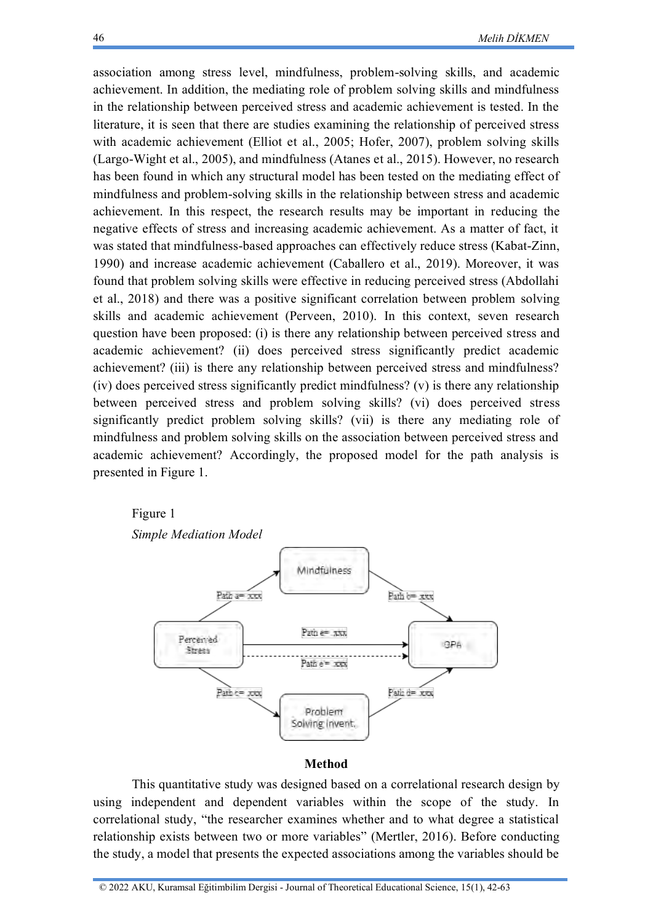association among stress level, mindfulness, problem-solving skills, and academic achievement. In addition, the mediating role of problem solving skills and mindfulness in the relationship between perceived stress and academic achievement is tested. In the literature, it is seen that there are studies examining the relationship of perceived stress with academic achievement (Elliot et al., 2005; Hofer, 2007), problem solving skills (Largo-Wight et al., 2005), and mindfulness (Atanes et al., 2015). However, no research has been found in which any structural model has been tested on the mediating effect of mindfulness and problem-solving skills in the relationship between stress and academic achievement. In this respect, the research results may be important in reducing the negative effects of stress and increasing academic achievement. As a matter of fact, it was stated that mindfulness-based approaches can effectively reduce stress (Kabat-Zinn, 1990) and increase academic achievement (Caballero et al., 2019). Moreover, it was found that problem solving skills were effective in reducing perceived stress (Abdollahi et al., 2018) and there was a positive significant correlation between problem solving skills and academic achievement (Perveen, 2010). In this context, seven research question have been proposed: (i) is there any relationship between perceived stress and academic achievement? (ii) does perceived stress significantly predict academic achievement? (iii) is there any relationship between perceived stress and mindfulness? (iv) does perceived stress significantly predict mindfulness? (v) is there any relationship between perceived stress and problem solving skills? (vi) does perceived stress significantly predict problem solving skills? (vii) is there any mediating role of mindfulness and problem solving skills on the association between perceived stress and academic achievement? Accordingly, the proposed model for the path analysis is presented in Figure 1.

#### Figure 1

*Simple Mediation Model*



#### **Method**

This quantitative study was designed based on a correlational research design by using independent and dependent variables within the scope of the study. In correlational study, "the researcher examines whether and to what degree a statistical relationship exists between two or more variables" (Mertler, 2016). Before conducting the study, a model that presents the expected associations among the variables should be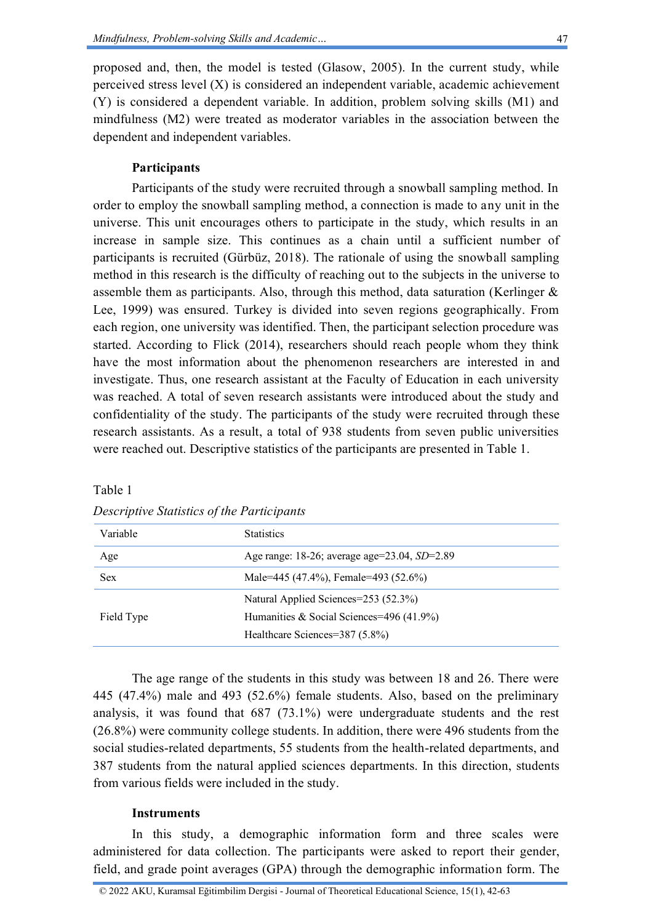proposed and, then, the model is tested (Glasow, 2005). In the current study, while perceived stress level (X) is considered an independent variable, academic achievement (Y) is considered a dependent variable. In addition, problem solving skills (M1) and mindfulness (M2) were treated as moderator variables in the association between the dependent and independent variables.

## **Participants**

Participants of the study were recruited through a snowball sampling method. In order to employ the snowball sampling method, a connection is made to any unit in the universe. This unit encourages others to participate in the study, which results in an increase in sample size. This continues as a chain until a sufficient number of participants is recruited (Gürbüz, 2018). The rationale of using the snowball sampling method in this research is the difficulty of reaching out to the subjects in the universe to assemble them as participants. Also, through this method, data saturation (Kerlinger & Lee, 1999) was ensured. Turkey is divided into seven regions geographically. From each region, one university was identified. Then, the participant selection procedure was started. According to Flick (2014), researchers should reach people whom they think have the most information about the phenomenon researchers are interested in and investigate. Thus, one research assistant at the Faculty of Education in each university was reached. A total of seven research assistants were introduced about the study and confidentiality of the study. The participants of the study were recruited through these research assistants. As a result, a total of 938 students from seven public universities were reached out. Descriptive statistics of the participants are presented in Table 1.

| Variable   | <b>Statistics</b>                            |
|------------|----------------------------------------------|
| Age        | Age range: 18-26; average age=23.04, SD=2.89 |
| <b>Sex</b> | Male=445 (47.4%), Female=493 (52.6%)         |
|            | Natural Applied Sciences=253 (52.3%)         |
| Field Type | Humanities & Social Sciences=496 (41.9%)     |
|            | Healthcare Sciences=387 (5.8%)               |

*Descriptive Statistics of the Participants*

Table 1

The age range of the students in this study was between 18 and 26. There were 445 (47.4%) male and 493 (52.6%) female students. Also, based on the preliminary analysis, it was found that 687 (73.1%) were undergraduate students and the rest (26.8%) were community college students. In addition, there were 496 students from the social studies-related departments, 55 students from the health-related departments, and 387 students from the natural applied sciences departments. In this direction, students from various fields were included in the study.

### **Instruments**

In this study, a demographic information form and three scales were administered for data collection. The participants were asked to report their gender, field, and grade point averages (GPA) through the demographic information form. The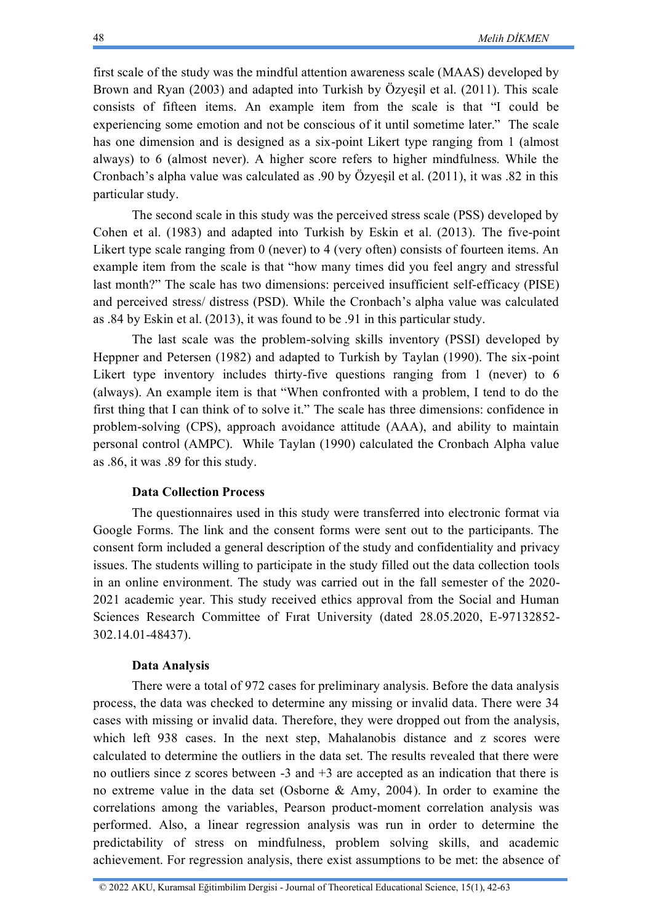first scale of the study was the mindful attention awareness scale (MAAS) developed by Brown and Ryan (2003) and adapted into Turkish by Özyeşil et al. (2011). This scale consists of fifteen items. An example item from the scale is that "I could be experiencing some emotion and not be conscious of it until sometime later." The scale has one dimension and is designed as a six-point Likert type ranging from 1 (almost always) to 6 (almost never). A higher score refers to higher mindfulness. While the Cronbach's alpha value was calculated as .90 by Özyeşil et al. (2011), it was .82 in this particular study.

The second scale in this study was the perceived stress scale (PSS) developed by Cohen et al. (1983) and adapted into Turkish by Eskin et al. (2013). The five-point Likert type scale ranging from 0 (never) to 4 (very often) consists of fourteen items. An example item from the scale is that "how many times did you feel angry and stressful last month?" The scale has two dimensions: perceived insufficient self-efficacy (PISE) and perceived stress/ distress (PSD). While the Cronbach's alpha value was calculated as .84 by Eskin et al. (2013), it was found to be .91 in this particular study.

The last scale was the problem-solving skills inventory (PSSI) developed by Heppner and Petersen (1982) and adapted to Turkish by Taylan (1990). The six-point Likert type inventory includes thirty-five questions ranging from 1 (never) to 6 (always). An example item is that "When confronted with a problem, I tend to do the first thing that I can think of to solve it." The scale has three dimensions: confidence in problem-solving (CPS), approach avoidance attitude (AAA), and ability to maintain personal control (AMPC). While Taylan (1990) calculated the Cronbach Alpha value as .86, it was .89 for this study.

#### **Data Collection Process**

The questionnaires used in this study were transferred into electronic format via Google Forms. The link and the consent forms were sent out to the participants. The consent form included a general description of the study and confidentiality and privacy issues. The students willing to participate in the study filled out the data collection tools in an online environment. The study was carried out in the fall semester of the 2020- 2021 academic year. This study received ethics approval from the Social and Human Sciences Research Committee of Fırat University (dated 28.05.2020, E-97132852- 302.14.01-48437).

#### **Data Analysis**

There were a total of 972 cases for preliminary analysis. Before the data analysis process, the data was checked to determine any missing or invalid data. There were 34 cases with missing or invalid data. Therefore, they were dropped out from the analysis, which left 938 cases. In the next step, Mahalanobis distance and z scores were calculated to determine the outliers in the data set. The results revealed that there were no outliers since z scores between -3 and +3 are accepted as an indication that there is no extreme value in the data set (Osborne & Amy, 2004). In order to examine the correlations among the variables, Pearson product-moment correlation analysis was performed. Also, a linear regression analysis was run in order to determine the predictability of stress on mindfulness, problem solving skills, and academic achievement. For regression analysis, there exist assumptions to be met: the absence of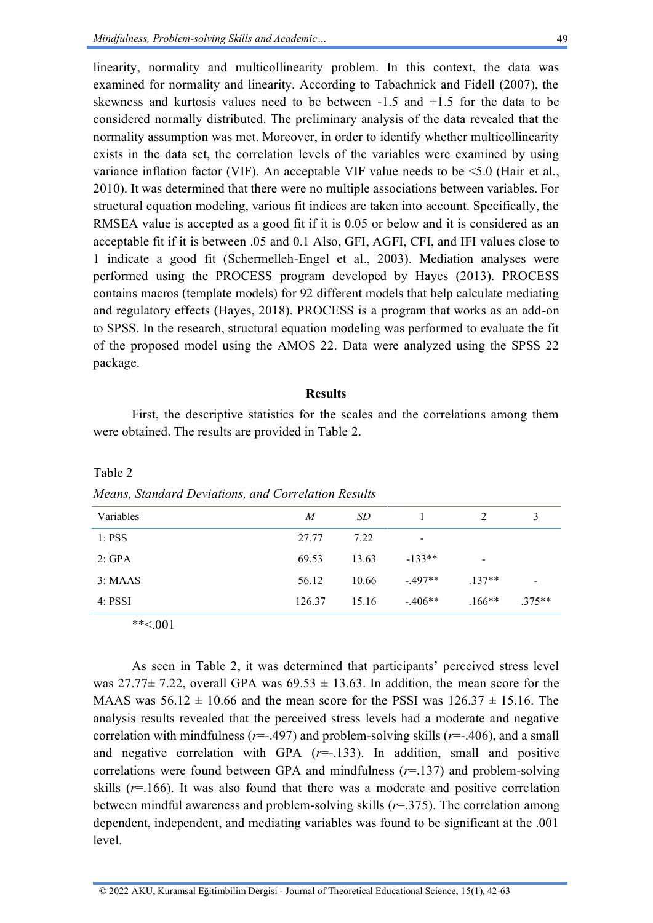linearity, normality and multicollinearity problem. In this context, the data was examined for normality and linearity. According to Tabachnick and Fidell (2007), the skewness and kurtosis values need to be between -1.5 and +1.5 for the data to be considered normally distributed. The preliminary analysis of the data revealed that the normality assumption was met. Moreover, in order to identify whether multicollinearity exists in the data set, the correlation levels of the variables were examined by using variance inflation factor (VIF). An acceptable VIF value needs to be <5.0 (Hair et al., 2010). It was determined that there were no multiple associations between variables. For structural equation modeling, various fit indices are taken into account. Specifically, the RMSEA value is accepted as a good fit if it is 0.05 or below and it is considered as an acceptable fit if it is between .05 and 0.1 Also, GFI, AGFI, CFI, and IFI values close to 1 indicate a good fit (Schermelleh-Engel et al., 2003). Mediation analyses were performed using the PROCESS program developed by Hayes (2013). PROCESS contains macros (template models) for 92 different models that help calculate mediating and regulatory effects (Hayes, 2018). PROCESS is a program that works as an add-on to SPSS. In the research, structural equation modeling was performed to evaluate the fit of the proposed model using the AMOS 22. Data were analyzed using the SPSS 22 package.

#### **Results**

First, the descriptive statistics for the scales and the correlations among them were obtained. The results are provided in Table 2.

| Variables | M      | SD    |                          | 2         | 3               |
|-----------|--------|-------|--------------------------|-----------|-----------------|
| 1: PSS    | 27.77  | 7.22  | $\overline{\phantom{0}}$ |           |                 |
| 2: GPA    | 69.53  | 13.63 | $-133**$                 | -         |                 |
| 3:MAAS    | 56.12  | 10.66 | $-497**$                 | $.137**$  | $\qquad \qquad$ |
| $4:$ PSSI | 126.37 | 15.16 | $-406**$                 | $.166***$ | $.375**$        |

*Means, Standard Deviations, and Correlation Results*

\*\*<.001

Table 2

As seen in Table 2, it was determined that participants' perceived stress level was 27.77 $\pm$  7.22, overall GPA was 69.53  $\pm$  13.63. In addition, the mean score for the MAAS was  $56.12 \pm 10.66$  and the mean score for the PSSI was  $126.37 \pm 15.16$ . The analysis results revealed that the perceived stress levels had a moderate and negative correlation with mindfulness ( $r = .497$ ) and problem-solving skills ( $r = .406$ ), and a small and negative correlation with GPA  $(r=-133)$ . In addition, small and positive correlations were found between GPA and mindfulness (*r*=.137) and problem-solving skills  $(r=166)$ . It was also found that there was a moderate and positive correlation between mindful awareness and problem-solving skills (*r*=.375). The correlation among dependent, independent, and mediating variables was found to be significant at the .001 level.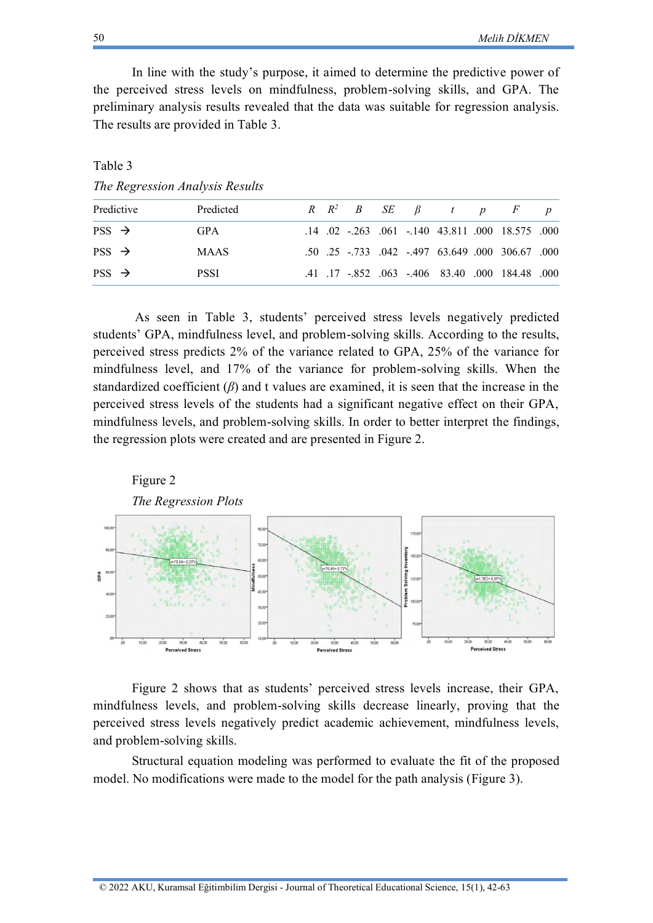In line with the study's purpose, it aimed to determine the predictive power of the perceived stress levels on mindfulness, problem-solving skills, and GPA. The preliminary analysis results revealed that the data was suitable for regression analysis. The results are provided in Table 3.

Table 3

*The Regression Analysis Results*

| Predictive        | Predicted   |  |  | $R$ $R^2$ $B$ $SE$ $\beta$ $t$ $p$ $F$ |                                                  |  |
|-------------------|-------------|--|--|----------------------------------------|--------------------------------------------------|--|
| $PSS \rightarrow$ | <b>GPA</b>  |  |  |                                        | .14 .02 -.263 .061 -.140 43.811 .000 18.575 .000 |  |
| $PSS \rightarrow$ | <b>MAAS</b> |  |  |                                        | .50 .25 .733 .042 .497 63.649 .000 306.67 .000   |  |
| $PSS \rightarrow$ | <b>PSSI</b> |  |  |                                        | .41 .17 .852 .063 .406 83.40 .000 184.48 .000    |  |

As seen in Table 3, students' perceived stress levels negatively predicted students' GPA, mindfulness level, and problem-solving skills. According to the results, perceived stress predicts 2% of the variance related to GPA, 25% of the variance for mindfulness level, and 17% of the variance for problem-solving skills. When the standardized coefficient (*β*) and t values are examined, it is seen that the increase in the perceived stress levels of the students had a significant negative effect on their GPA, mindfulness levels, and problem-solving skills. In order to better interpret the findings, the regression plots were created and are presented in Figure 2.



Figure 2 shows that as students' perceived stress levels increase, their GPA, mindfulness levels, and problem-solving skills decrease linearly, proving that the perceived stress levels negatively predict academic achievement, mindfulness levels, and problem-solving skills.

Structural equation modeling was performed to evaluate the fit of the proposed model. No modifications were made to the model for the path analysis (Figure 3).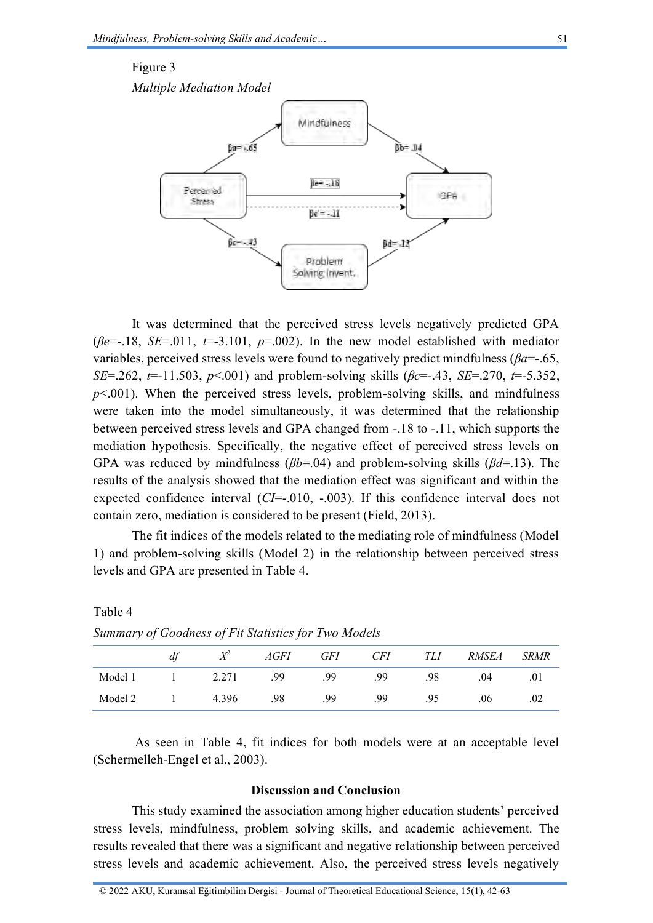#### Figure 3

*Multiple Mediation Model*



It was determined that the perceived stress levels negatively predicted GPA ( $\beta e$ =-.18, *SE*=.011,  $t$ =-3.101,  $p$ =.002). In the new model established with mediator variables, perceived stress levels were found to negatively predict mindfulness (*βa*=-.65, *SE*=.262, *t*=-11.503, *p*<.001) and problem-solving skills (*βc*=-.43, *SE*=.270, *t*=-5.352,  $p<.001$ ). When the perceived stress levels, problem-solving skills, and mindfulness were taken into the model simultaneously, it was determined that the relationship between perceived stress levels and GPA changed from -.18 to -.11, which supports the mediation hypothesis. Specifically, the negative effect of perceived stress levels on GPA was reduced by mindfulness (*βb*=.04) and problem-solving skills (*βd*=.13). The results of the analysis showed that the mediation effect was significant and within the expected confidence interval (*CI*=-.010, -.003). If this confidence interval does not contain zero, mediation is considered to be present (Field, 2013).

The fit indices of the models related to the mediating role of mindfulness (Model 1) and problem-solving skills (Model 2) in the relationship between perceived stress levels and GPA are presented in Table 4.

| . .     |    |       |             |            |            |     |              |             |
|---------|----|-------|-------------|------------|------------|-----|--------------|-------------|
|         | df | $X^2$ | <i>AGFI</i> | <b>GFI</b> | <b>CFI</b> | TLI | <i>RMSEA</i> | <b>SRMR</b> |
| Model 1 |    | 2.271 | .99         | .99        | .99        | .98 | .04          | .01         |
| Model 2 |    | 4.396 | .98         | .99        | .99        | .95 | .06          | .02         |

*Summary of Goodness of Fit Statistics for Two Models*

Table 4

As seen in Table 4, fit indices for both models were at an acceptable level (Schermelleh-Engel et al., 2003).

### **Discussion and Conclusion**

This study examined the association among higher education students' perceived stress levels, mindfulness, problem solving skills, and academic achievement. The results revealed that there was a significant and negative relationship between perceived stress levels and academic achievement. Also, the perceived stress levels negatively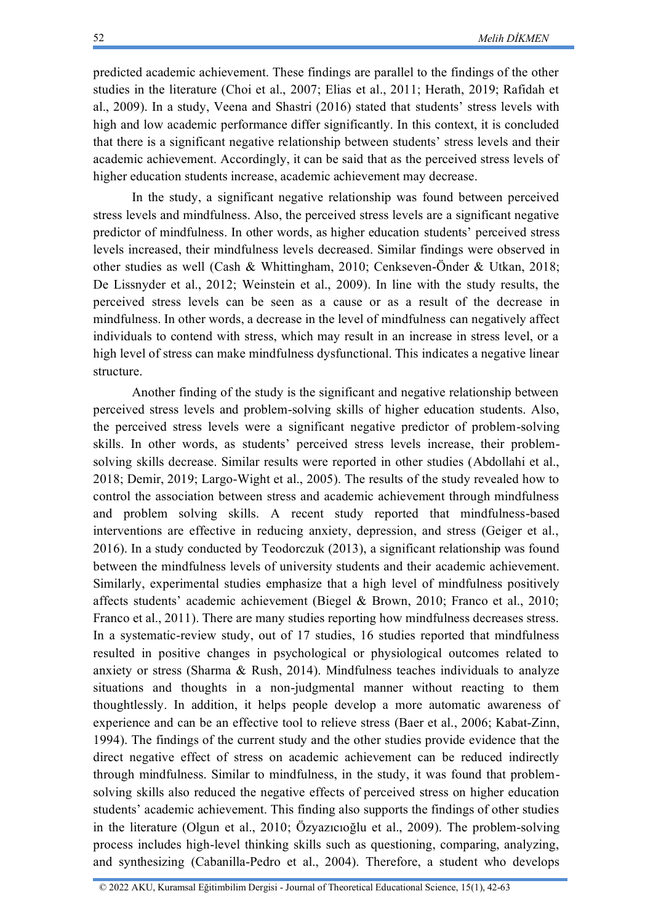predicted academic achievement. These findings are parallel to the findings of the other studies in the literature (Choi et al., 2007; Elias et al., 2011; Herath, 2019; Rafidah et al., 2009). In a study, Veena and Shastri (2016) stated that students' stress levels with high and low academic performance differ significantly. In this context, it is concluded that there is a significant negative relationship between students' stress levels and their academic achievement. Accordingly, it can be said that as the perceived stress levels of higher education students increase, academic achievement may decrease.

In the study, a significant negative relationship was found between perceived stress levels and mindfulness. Also, the perceived stress levels are a significant negative predictor of mindfulness. In other words, as higher education students' perceived stress levels increased, their mindfulness levels decreased. Similar findings were observed in other studies as well (Cash & Whittingham, 2010; Cenkseven-Önder & Utkan, 2018; De Lissnyder et al., 2012; Weinstein et al., 2009). In line with the study results, the perceived stress levels can be seen as a cause or as a result of the decrease in mindfulness. In other words, a decrease in the level of mindfulness can negatively affect individuals to contend with stress, which may result in an increase in stress level, or a high level of stress can make mindfulness dysfunctional. This indicates a negative linear structure.

Another finding of the study is the significant and negative relationship between perceived stress levels and problem-solving skills of higher education students. Also, the perceived stress levels were a significant negative predictor of problem-solving skills. In other words, as students' perceived stress levels increase, their problemsolving skills decrease. Similar results were reported in other studies (Abdollahi et al., 2018; Demir, 2019; Largo-Wight et al., 2005). The results of the study revealed how to control the association between stress and academic achievement through mindfulness and problem solving skills. A recent study reported that mindfulness-based interventions are effective in reducing anxiety, depression, and stress (Geiger et al., 2016). In a study conducted by Teodorczuk (2013), a significant relationship was found between the mindfulness levels of university students and their academic achievement. Similarly, experimental studies emphasize that a high level of mindfulness positively affects students' academic achievement (Biegel & Brown, 2010; Franco et al., 2010; Franco et al., 2011). There are many studies reporting how mindfulness decreases stress. In a systematic-review study, out of 17 studies, 16 studies reported that mindfulness resulted in positive changes in psychological or physiological outcomes related to anxiety or stress (Sharma  $\&$  Rush, 2014). Mindfulness teaches individuals to analyze situations and thoughts in a non-judgmental manner without reacting to them thoughtlessly. In addition, it helps people develop a more automatic awareness of experience and can be an effective tool to relieve stress (Baer et al., 2006; Kabat-Zinn, 1994). The findings of the current study and the other studies provide evidence that the direct negative effect of stress on academic achievement can be reduced indirectly through mindfulness. Similar to mindfulness, in the study, it was found that problemsolving skills also reduced the negative effects of perceived stress on higher education students' academic achievement. This finding also supports the findings of other studies in the literature (Olgun et al., 2010; Özyazıcıoğlu et al., 2009). The problem-solving process includes high-level thinking skills such as questioning, comparing, analyzing, and synthesizing (Cabanilla-Pedro et al., 2004). Therefore, a student who develops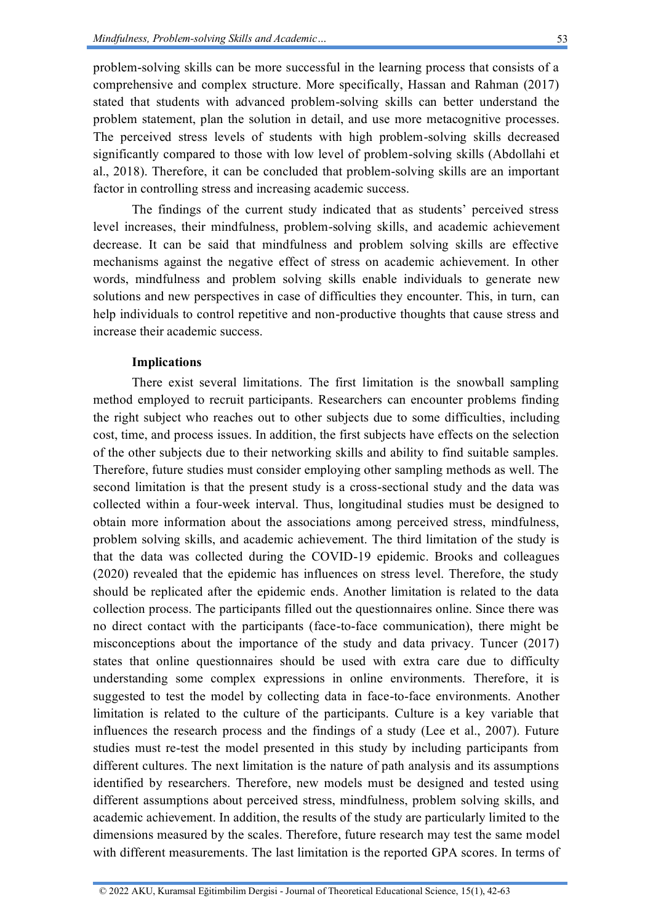problem-solving skills can be more successful in the learning process that consists of a comprehensive and complex structure. More specifically, Hassan and Rahman (2017) stated that students with advanced problem-solving skills can better understand the problem statement, plan the solution in detail, and use more metacognitive processes. The perceived stress levels of students with high problem-solving skills decreased significantly compared to those with low level of problem-solving skills (Abdollahi et al., 2018). Therefore, it can be concluded that problem-solving skills are an important factor in controlling stress and increasing academic success.

The findings of the current study indicated that as students' perceived stress level increases, their mindfulness, problem-solving skills, and academic achievement decrease. It can be said that mindfulness and problem solving skills are effective mechanisms against the negative effect of stress on academic achievement. In other words, mindfulness and problem solving skills enable individuals to generate new solutions and new perspectives in case of difficulties they encounter. This, in turn, can help individuals to control repetitive and non-productive thoughts that cause stress and increase their academic success.

#### **Implications**

There exist several limitations. The first limitation is the snowball sampling method employed to recruit participants. Researchers can encounter problems finding the right subject who reaches out to other subjects due to some difficulties, including cost, time, and process issues. In addition, the first subjects have effects on the selection of the other subjects due to their networking skills and ability to find suitable samples. Therefore, future studies must consider employing other sampling methods as well. The second limitation is that the present study is a cross-sectional study and the data was collected within a four-week interval. Thus, longitudinal studies must be designed to obtain more information about the associations among perceived stress, mindfulness, problem solving skills, and academic achievement. The third limitation of the study is that the data was collected during the COVID-19 epidemic. Brooks and colleagues (2020) revealed that the epidemic has influences on stress level. Therefore, the study should be replicated after the epidemic ends. Another limitation is related to the data collection process. The participants filled out the questionnaires online. Since there was no direct contact with the participants (face-to-face communication), there might be misconceptions about the importance of the study and data privacy. Tuncer (2017) states that online questionnaires should be used with extra care due to difficulty understanding some complex expressions in online environments. Therefore, it is suggested to test the model by collecting data in face-to-face environments. Another limitation is related to the culture of the participants. Culture is a key variable that influences the research process and the findings of a study (Lee et al., 2007). Future studies must re-test the model presented in this study by including participants from different cultures. The next limitation is the nature of path analysis and its assumptions identified by researchers. Therefore, new models must be designed and tested using different assumptions about perceived stress, mindfulness, problem solving skills, and academic achievement. In addition, the results of the study are particularly limited to the dimensions measured by the scales. Therefore, future research may test the same model with different measurements. The last limitation is the reported GPA scores. In terms of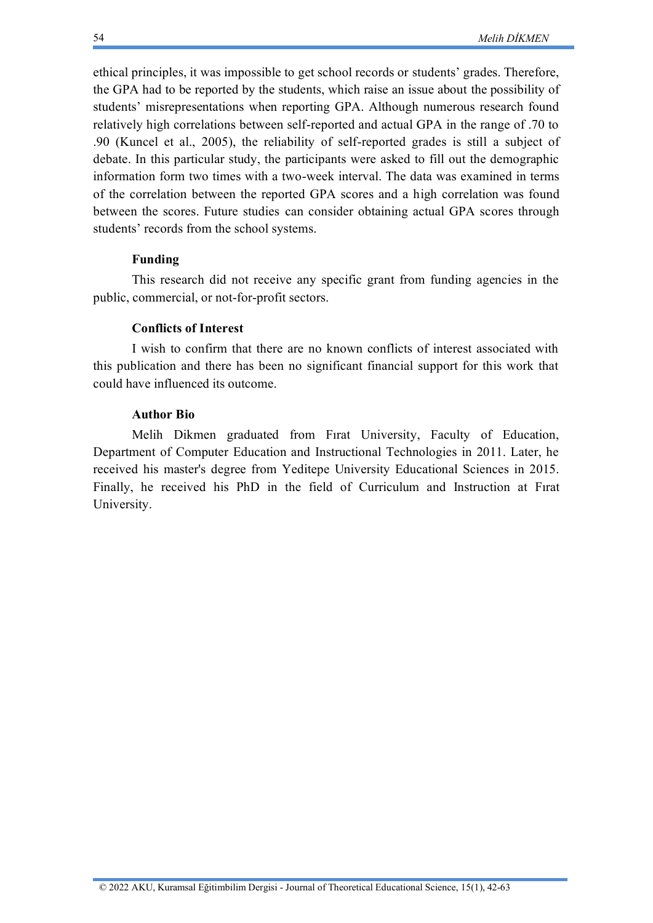ethical principles, it was impossible to get school records or students' grades. Therefore, the GPA had to be reported by the students, which raise an issue about the possibility of students' misrepresentations when reporting GPA. Although numerous research found relatively high correlations between self-reported and actual GPA in the range of .70 to .90 (Kuncel et al., 2005), the reliability of self-reported grades is still a subject of debate. In this particular study, the participants were asked to fill out the demographic information form two times with a two-week interval. The data was examined in terms of the correlation between the reported GPA scores and a high correlation was found between the scores. Future studies can consider obtaining actual GPA scores through students' records from the school systems.

## **Funding**

This research did not receive any specific grant from funding agencies in the public, commercial, or not-for-profit sectors.

### **Conflicts of Interest**

I wish to confirm that there are no known conflicts of interest associated with this publication and there has been no significant financial support for this work that could have influenced its outcome.

## **Author Bio**

Melih Dikmen graduated from Fırat University, Faculty of Education, Department of Computer Education and Instructional Technologies in 2011. Later, he received his master's degree from Yeditepe University Educational Sciences in 2015. Finally, he received his PhD in the field of Curriculum and Instruction at Fırat University.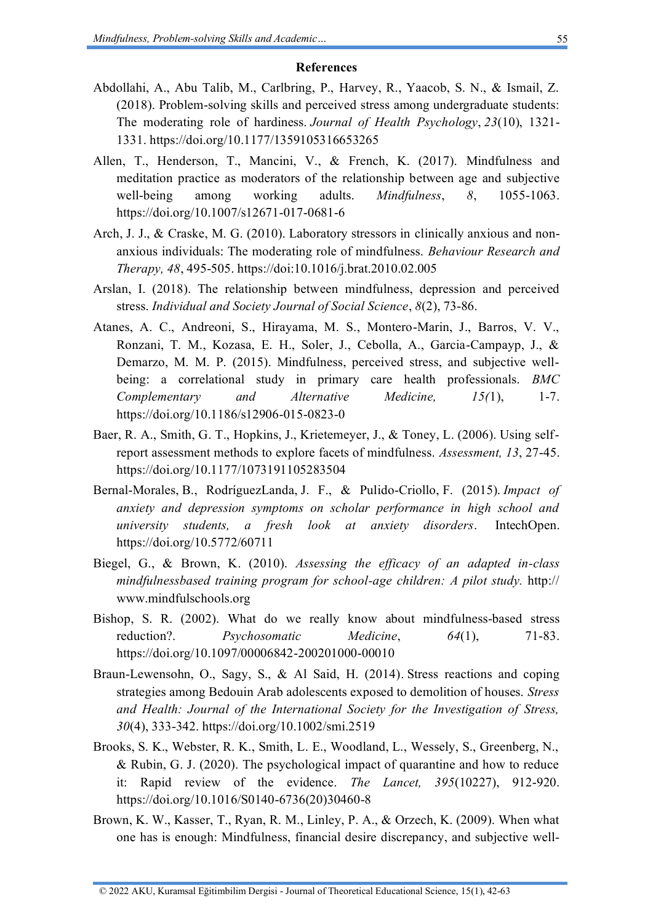#### **References**

- Abdollahi, A., Abu Talib, M., Carlbring, P., Harvey, R., Yaacob, S. N., & Ismail, Z. (2018). Problem-solving skills and perceived stress among undergraduate students: The moderating role of hardiness. *Journal of Health Psychology*, *23*(10), 1321- 1331. <https://doi.org/10.1177/1359105316653265>
- Allen, T., Henderson, T., Mancini, V., & French, K. (2017). Mindfulness and meditation practice as moderators of the relationship between age and subjective well-being among working adults. *Mindfulness*, *8*, 1055-1063. <https://doi.org/10.1007/s12671-017-0681-6>
- Arch, J. J., & Craske, M. G. (2010). Laboratory stressors in clinically anxious and nonanxious individuals: The moderating role of mindfulness. *Behaviour Research and Therapy, 48*, 495-505.<https://doi:10.1016/j.brat.2010.02.005>
- Arslan, I. (2018). The relationship between mindfulness, depression and perceived stress. *Individual and Society Journal of Social Science*, *8*(2), 73-86.
- Atanes, A. C., Andreoni, S., Hirayama, M. S., Montero-Marin, J., Barros, V. V., Ronzani, T. M., Kozasa, E. H., Soler, J., Cebolla, A., Garcia-Campayp, J., & Demarzo, M. M. P. (2015). Mindfulness, perceived stress, and subjective wellbeing: a correlational study in primary care health professionals. *BMC Complementary and Alternative Medicine, 15(*1), 1-7. <https://doi.org/10.1186/s12906-015-0823-0>
- Baer, R. A., Smith, G. T., Hopkins, J., Krietemeyer, J., & Toney, L. (2006). Using selfreport assessment methods to explore facets of mindfulness. *Assessment, 13*, 27-45. <https://doi.org/10.1177/1073191105283504>
- Bernal-Morales, B., RodríguezLanda, J. F., & Pulido-Criollo, F. (2015). *Impact of anxiety and depression symptoms on scholar performance in high school and university students, a fresh look at anxiety disorders*. IntechOpen. <https://doi.org/10.5772/60711>
- Biegel, G., & Brown, K. (2010). *Assessing the efficacy of an adapted in-class mindfulnessbased training program for school-age children: A pilot study.* http:// [www.mindfulschools.org](http://www.mindfulschools.org/)
- Bishop, S. R. (2002). What do we really know about mindfulness-based stress reduction?. *Psychosomatic Medicine*, *64*(1), 71-83. <https://doi.org/10.1097/00006842-200201000-00010>
- Braun-Lewensohn, O., Sagy, S., & Al Said, H. (2014). Stress reactions and coping strategies among Bedouin Arab adolescents exposed to demolition of houses. *Stress and Health: Journal of the International Society for the Investigation of Stress, 30*(4), 333-342. <https://doi.org/10.1002/smi.2519>
- Brooks, S. K., Webster, R. K., Smith, L. E., Woodland, L., Wessely, S., Greenberg, N., & Rubin, G. J. (2020). The psychological impact of quarantine and how to reduce it: Rapid review of the evidence. *The Lancet, 395*(10227), 912-920. [https://doi.org/10.1016/S0140-6736\(20\)30460-8](https://doi.org/10.1016/S0140-6736(20)30460-8)
- Brown, K. W., Kasser, T., Ryan, R. M., Linley, P. A., & Orzech, K. (2009). When what one has is enough: Mindfulness, financial desire discrepancy, and subjective well-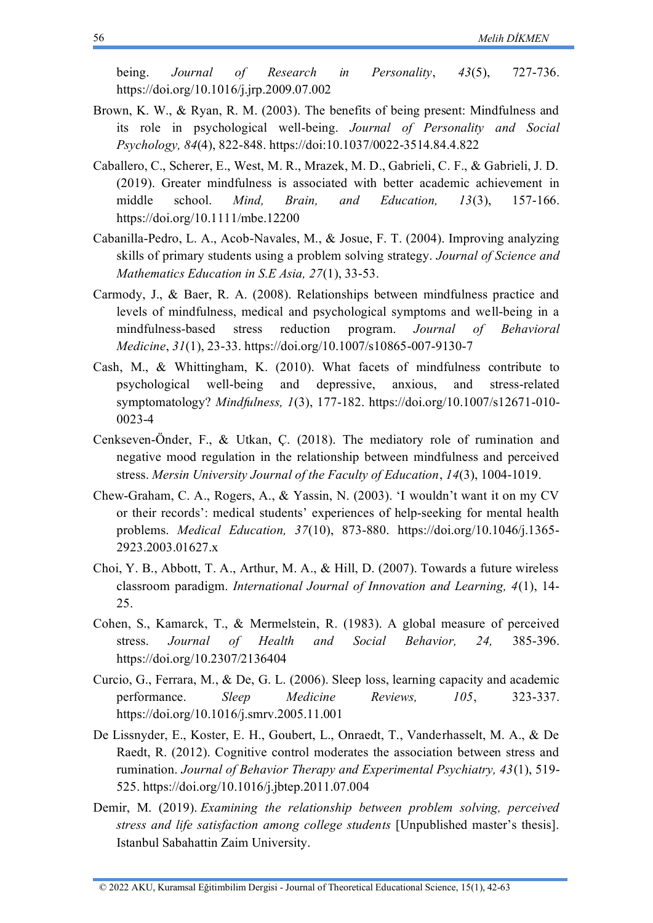being. *Journal of Research in Personality*, *43*(5), 727-736. <https://doi.org/10.1016/j.jrp.2009.07.002>

- Brown, K. W., & Ryan, R. M. (2003). The benefits of being present: Mindfulness and its role in psychological well-being. *Journal of Personality and Social Psychology, 84*(4), 822-848. https://doi[:10.1037/0022-3514.84.4.822](http://doi.org/10.1037/0022-3514.84.4.822)
- Caballero, C., Scherer, E., West, M. R., Mrazek, M. D., Gabrieli, C. F., & Gabrieli, J. D. (2019). Greater mindfulness is associated with better academic achievement in middle school. *Mind, Brain, and Education, 13*(3), 157-166. <https://doi.org/10.1111/mbe.12200>
- Cabanilla-Pedro, L. A., Acob-Navales, M., & Josue, F. T. (2004). Improving analyzing skills of primary students using a problem solving strategy. *Journal of Science and Mathematics Education in S.E Asia, 27*(1), 33-53.
- Carmody, J., & Baer, R. A. (2008). Relationships between mindfulness practice and levels of mindfulness, medical and psychological symptoms and well-being in a mindfulness-based stress reduction program. *Journal of Behavioral Medicine*, *31*(1), 23-33. <https://doi.org/10.1007/s10865-007-9130-7>
- Cash, M., & Whittingham, K. (2010). What facets of mindfulness contribute to psychological well-being and depressive, anxious, and stress-related symptomatology? *Mindfulness, 1*(3), 177-182. [https://doi.org/10.1007/s12671-010-](https://doi.org/10.1007/s12671-010-0023-4) [0023-4](https://doi.org/10.1007/s12671-010-0023-4)
- Cenkseven-Önder, F., & Utkan, Ç. (2018). The mediatory role of rumination and negative mood regulation in the relationship between mindfulness and perceived stress. *Mersin University Journal of the Faculty of Education*, *14*(3), 1004-1019.
- Chew‐Graham, C. A., Rogers, A., & Yassin, N. (2003). 'I wouldn't want it on my CV or their records': medical students' experiences of help‐seeking for mental health problems. *Medical Education, 37*(10), 873-880. [https://doi.org/10.1046/j.1365-](https://doi.org/10.1046/j.1365-2923.2003.01627.x) [2923.2003.01627.x](https://doi.org/10.1046/j.1365-2923.2003.01627.x)
- Choi, Y. B., Abbott, T. A., Arthur, M. A., & Hill, D. (2007). Towards a future wireless classroom paradigm. *International Journal of Innovation and Learning, 4*(1), 14- 25.
- Cohen, S., Kamarck, T., & Mermelstein, R. (1983). A global measure of perceived stress. *Journal of Health and Social Behavior, 24,* 385-396. <https://doi.org/10.2307/2136404>
- Curcio, G., Ferrara, M., & De, G. L. (2006). Sleep loss, learning capacity and academic performance. *Sleep Medicine Reviews, 105*, 323-337. <https://doi.org/10.1016/j.smrv.2005.11.001>
- De Lissnyder, E., Koster, E. H., Goubert, L., Onraedt, T., Vanderhasselt, M. A., & De Raedt, R. (2012). Cognitive control moderates the association between stress and rumination. *Journal of Behavior Therapy and Experimental Psychiatry, 43*(1), 519- 525. <https://doi.org/10.1016/j.jbtep.2011.07.004>
- Demir, M. (2019). *Examining the relationship between problem solving, perceived stress and life satisfaction among college students* [Unpublished master's thesis]. Istanbul Sabahattin Zaim University.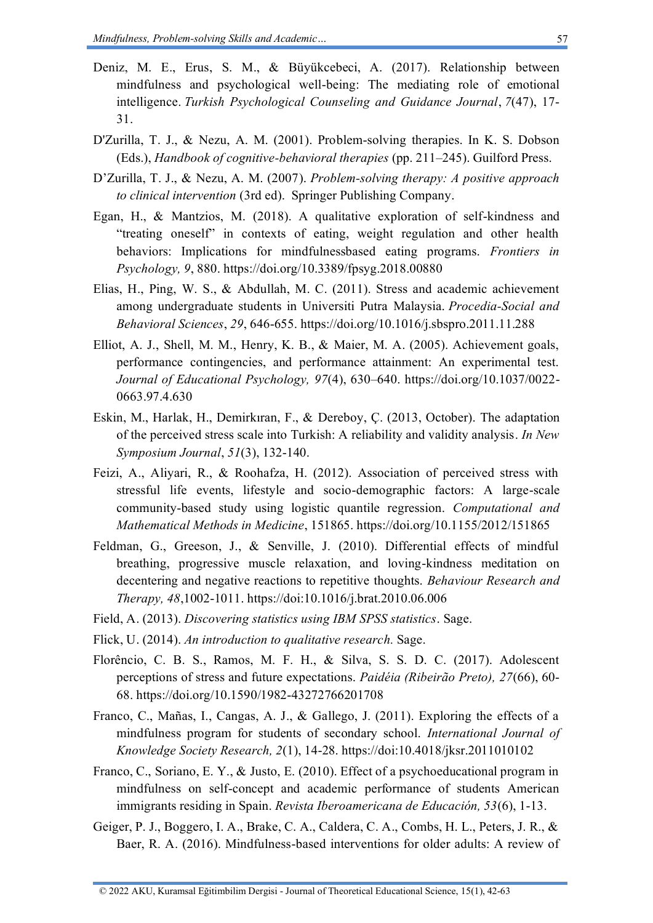- Deniz, M. E., Erus, S. M., & Büyükcebeci, A. (2017). Relationship between mindfulness and psychological well-being: The mediating role of emotional intelligence. *Turkish Psychological Counseling and Guidance Journal*, *7*(47), 17- 31.
- D'Zurilla, T. J., & Nezu, A. M. (2001). Problem-solving therapies. In K. S. Dobson (Eds.), *Handbook of cognitive-behavioral therapies* (pp. 211–245). Guilford Press.
- D'Zurilla, T. J., & Nezu, A. M. (2007). *Problem-solving therapy: A positive approach to clinical intervention* (3rd ed). Springer Publishing Company.
- Egan, H., & Mantzios, M. (2018). A qualitative exploration of self-kindness and "treating oneself" in contexts of eating, weight regulation and other health behaviors: Implications for mindfulnessbased eating programs. *Frontiers in Psychology, 9*, 880[. https://doi.org/10.3389/fpsyg.2018.00880](https://doi.org/10.3389/fpsyg.2018.00880)
- Elias, H., Ping, W. S., & Abdullah, M. C. (2011). Stress and academic achievement among undergraduate students in Universiti Putra Malaysia. *Procedia-Social and Behavioral Sciences*, *29*, 646-655. <https://doi.org/10.1016/j.sbspro.2011.11.288>
- Elliot, A. J., Shell, M. M., Henry, K. B., & Maier, M. A. (2005). Achievement goals, performance contingencies, and performance attainment: An experimental test. *Journal of Educational Psychology, 97*(4), 630–640. [https://doi.org/10.1037/0022-](https://doi.org/10.1037/0022-0663.97.4.630) [0663.97.4.630](https://doi.org/10.1037/0022-0663.97.4.630)
- Eskin, M., Harlak, H., Demirkıran, F., & Dereboy, Ç. (2013, October). The adaptation of the perceived stress scale into Turkish: A reliability and validity analysis. *In New Symposium Journal*, *51*(3), 132-140.
- Feizi, A., Aliyari, R., & Roohafza, H. (2012). Association of perceived stress with stressful life events, lifestyle and socio-demographic factors: A large-scale community-based study using logistic quantile regression. *Computational and Mathematical Methods in Medicine*, 151865.<https://doi.org/10.1155/2012/151865>
- Feldman, G., Greeson, J., & Senville, J. (2010). Differential effects of mindful breathing, progressive muscle relaxation, and loving-kindness meditation on decentering and negative reactions to repetitive thoughts. *Behaviour Research and Therapy, 48*,1002-1011.<https://doi:10.1016/j.brat.2010.06.006>
- Field, A. (2013). *Discovering statistics using IBM SPSS statistics*. Sage.
- Flick, U. (2014). *An introduction to qualitative research.* Sage.
- Florêncio, C. B. S., Ramos, M. F. H., & Silva, S. S. D. C. (2017). Adolescent perceptions of stress and future expectations. *Paidéia (Ribeirão Preto), 27*(66), 60- 68.<https://doi.org/10.1590/1982-43272766201708>
- Franco, C., Mañas, I., Cangas, A. J., & Gallego, J. (2011). Exploring the effects of a mindfulness program for students of secondary school. *International Journal of Knowledge Society Research, 2*(1), 14-28.<https://doi:10.4018/jksr.2011010102>
- Franco, C., Soriano, E. Y., & Justo, E. (2010). Effect of a psychoeducational program in mindfulness on self-concept and academic performance of students American immigrants residing in Spain. *Revista Iberoamericana de Educación, 53*(6), 1-13.
- Geiger, P. J., Boggero, I. A., Brake, C. A., Caldera, C. A., Combs, H. L., Peters, J. R., & Baer, R. A. (2016). Mindfulness-based interventions for older adults: A review of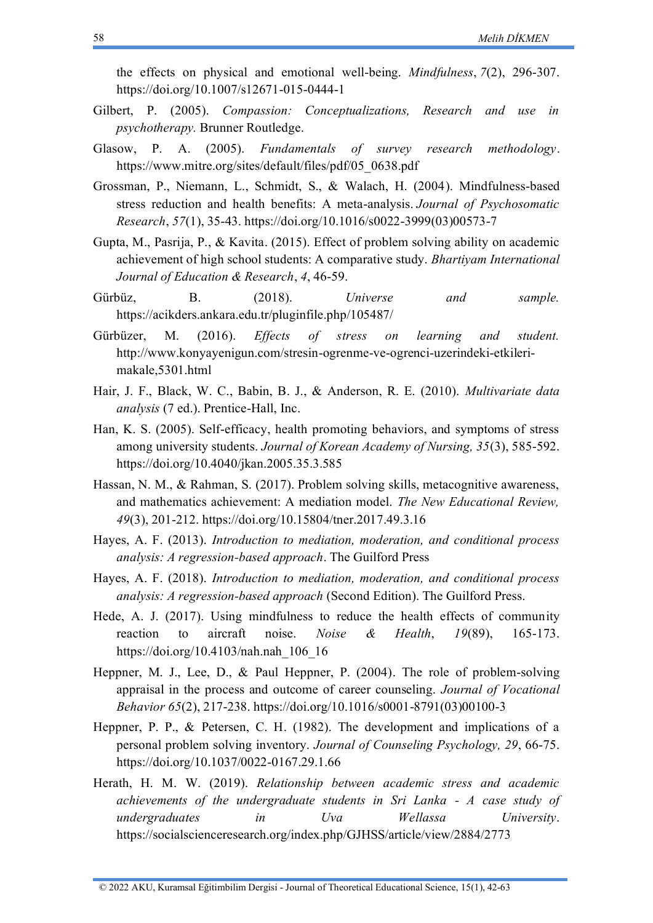the effects on physical and emotional well-being. *Mindfulness*, *7*(2), 296-307. <https://doi.org/10.1007/s12671-015-0444-1>

- Gilbert, P. (2005). *Compassion: Conceptualizations, Research and use in psychotherapy.* Brunner Routledge.
- Glasow, P. A. (2005). *Fundamentals of survey research methodology*. [https://www.mitre.org/sites/default/files/pdf/05\\_0638.pdf](https://www.mitre.org/sites/default/files/pdf/05_0638.pdf)
- Grossman, P., Niemann, L., Schmidt, S., & Walach, H. (2004). Mindfulness-based stress reduction and health benefits: A meta-analysis. *Journal of Psychosomatic Research*, *57*(1), 35-43. [https://doi.org/10.1016/s0022-3999\(03\)00573-7](https://doi.org/10.1016/s0022-3999(03)00573-7)
- Gupta, M., Pasrija, P., & Kavita. (2015). Effect of problem solving ability on academic achievement of high school students: A comparative study. *Bhartiyam International Journal of Education & Research*, *4*, 46-59.
- Gürbüz, B. (2018). *Universe and sample.* <https://acikders.ankara.edu.tr/pluginfile.php/105487/>
- Gürbüzer, M. (2016). *Effects of stress on learning and student.*  [http://www.konyayenigun.com/stresin-ogrenme-ve-ogrenci-uzerindeki-etkileri](http://www.konyayenigun.com/stresin-ogrenme-ve-ogrenci-uzerindeki-etkileri-makale,5301.html)[makale,5301.html](http://www.konyayenigun.com/stresin-ogrenme-ve-ogrenci-uzerindeki-etkileri-makale,5301.html)
- Hair, J. F., Black, W. C., Babin, B. J., & Anderson, R. E. (2010). *Multivariate data analysis* (7 ed.). Prentice-Hall, Inc.
- Han, K. S. (2005). Self-efficacy, health promoting behaviors, and symptoms of stress among university students. *Journal of Korean Academy of Nursing, 35*(3), 585-592. <https://doi.org/10.4040/jkan.2005.35.3.585>
- Hassan, N. M., & Rahman, S. (2017). Problem solving skills, metacognitive awareness, and mathematics achievement: A mediation model. *The New Educational Review, 49*(3), 201-212. <https://doi.org/10.15804/tner.2017.49.3.16>
- Hayes, A. F. (2013). *Introduction to mediation, moderation, and conditional process analysis: A regression-based approach*. The Guilford Press
- Hayes, A. F. (2018). *Introduction to mediation, moderation, and conditional process analysis: A regression-based approach* (Second Edition). The Guilford Press.
- Hede, A. J. (2017). Using mindfulness to reduce the health effects of community reaction to aircraft noise. *Noise & Health*, *19*(89), 165-173. [https://doi.org/10.4103/nah.nah\\_106\\_16](https://doi.org/10.4103/nah.nah_106_16)
- Heppner, M. J., Lee, D., & Paul Heppner, P. (2004). The role of problem-solving appraisal in the process and outcome of career counseling. *Journal of Vocational Behavior 65*(2), 217-238. [https://doi.org/10.1016/s0001-8791\(03\)00100-3](https://doi.org/10.1016/s0001-8791(03)00100-3)
- Heppner, P. P., & Petersen, C. H. (1982). The development and implications of a personal problem solving inventory. *Journal of Counseling Psychology, 29*, 66-75. <https://doi.org/10.1037/0022-0167.29.1.66>
- Herath, H. M. W. (2019). *Relationship between academic stress and academic achievements of the undergraduate students in Sri Lanka - A case study of undergraduates in Uva Wellassa University*. <https://socialscienceresearch.org/index.php/GJHSS/article/view/2884/2773>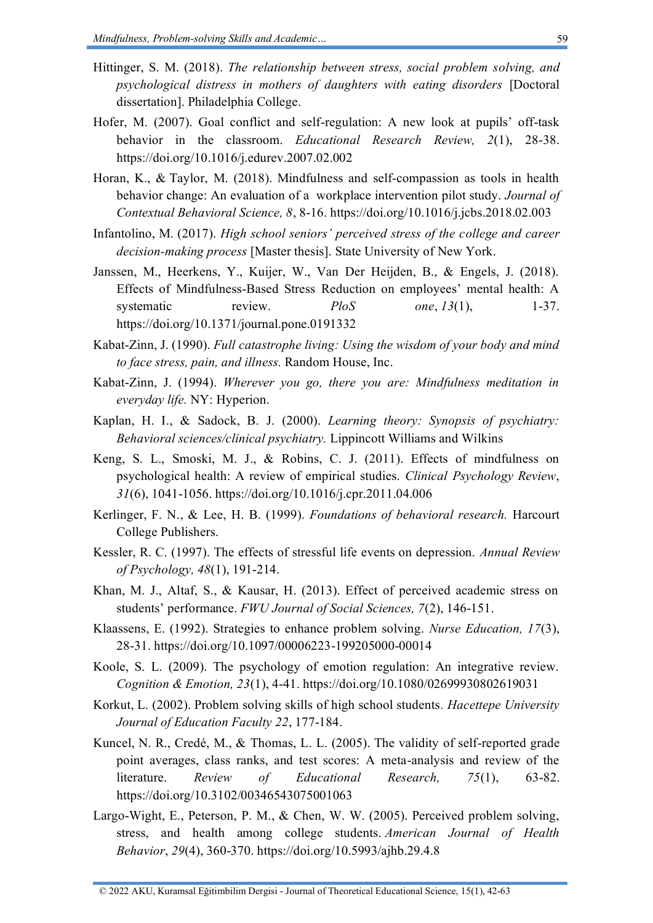- Hittinger, S. M. (2018). *The relationship between stress, social problem solving, and psychological distress in mothers of daughters with eating disorders* [Doctoral dissertation]. Philadelphia College.
- Hofer, M. (2007). Goal conflict and self-regulation: A new look at pupils' off-task behavior in the classroom. *Educational Research Review, 2*(1), 28-38. <https://doi.org/10.1016/j.edurev.2007.02.002>
- Horan, K., & Taylor, M. (2018). Mindfulness and self-compassion as tools in health behavior change: An evaluation of a workplace intervention pilot study. *Journal of Contextual Behavioral Science, 8*, 8-16.<https://doi.org/10.1016/j.jcbs.2018.02.003>
- Infantolino, M. (2017). *High school seniors' perceived stress of the college and career decision-making process* [Master thesis]. State University of New York.
- Janssen, M., Heerkens, Y., Kuijer, W., Van Der Heijden, B., & Engels, J. (2018). Effects of Mindfulness-Based Stress Reduction on employees' mental health: A systematic review. *PloS* one,  $13(1)$ , 1-37. <https://doi.org/10.1371/journal.pone.0191332>
- Kabat-Zinn, J. (1990). *Full catastrophe living: Using the wisdom of your body and mind to face stress, pain, and illness.* Random House, Inc.
- Kabat-Zinn, J. (1994). *Wherever you go, there you are: Mindfulness meditation in everyday life.* NY: Hyperion.
- Kaplan, H. I., & Sadock, B. J. (2000). *Learning theory: Synopsis of psychiatry: Behavioral sciences/clinical psychiatry.* Lippincott Williams and Wilkins
- Keng, S. L., Smoski, M. J., & Robins, C. J. (2011). Effects of mindfulness on psychological health: A review of empirical studies. *Clinical Psychology Review*, *31*(6), 1041-1056. <https://doi.org/10.1016/j.cpr.2011.04.006>
- Kerlinger, F. N., & Lee, H. B. (1999). *Foundations of behavioral research.* Harcourt College Publishers.
- Kessler, R. C. (1997). The effects of stressful life events on depression. *Annual Review of Psychology, 48*(1), 191-214.
- Khan, M. J., Altaf, S., & Kausar, H. (2013). Effect of perceived academic stress on students' performance. *FWU Journal of Social Sciences, 7*(2), 146-151.
- Klaassens, E. (1992). Strategies to enhance problem solving. *Nurse Education, 17*(3), 28-31. <https://doi.org/10.1097/00006223-199205000-00014>
- Koole, S. L. (2009). The psychology of emotion regulation: An integrative review. *Cognition & Emotion, 23*(1), 4-41. <https://doi.org/10.1080/02699930802619031>
- Korkut, L. (2002). Problem solving skills of high school students*. Hacettepe University Journal of Education Faculty 22*, 177-184.
- Kuncel, N. R., Credé, M., & Thomas, L. L. (2005). The validity of self-reported grade point averages, class ranks, and test scores: A meta-analysis and review of the literature. *Review of Educational Research, 75*(1), 63-82. <https://doi.org/10.3102/00346543075001063>
- Largo-Wight, E., Peterson, P. M., & Chen, W. W. (2005). Perceived problem solving, stress, and health among college students. *American Journal of Health Behavior*, *29*(4), 360-370. <https://doi.org/10.5993/ajhb.29.4.8>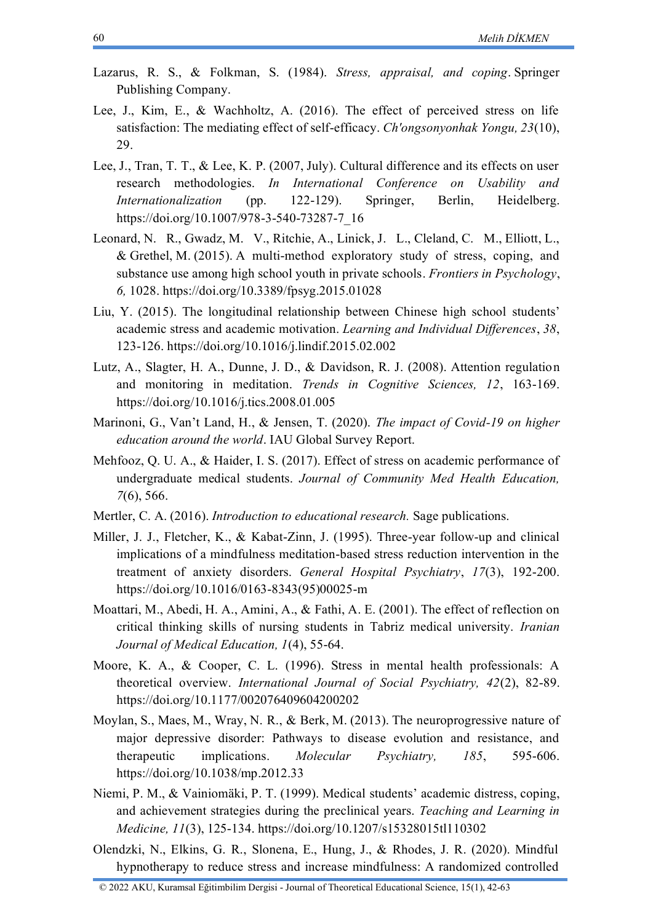- Lazarus, R. S., & Folkman, S. (1984). *Stress, appraisal, and coping*. Springer Publishing Company.
- Lee, J., Kim, E., & Wachholtz, A. (2016). The effect of perceived stress on life satisfaction: The mediating effect of self-efficacy. *Ch'ongsonyonhak Yongu, 23*(10), 29.
- Lee, J., Tran, T. T., & Lee, K. P. (2007, July). Cultural difference and its effects on user research methodologies. *In International Conference on Usability and Internationalization* (pp. 122-129). Springer, Berlin, Heidelberg. [https://doi.org/10.1007/978-3-540-73287-7\\_16](https://doi.org/10.1007/978-3-540-73287-7_16)
- Leonard, N. R., Gwadz, M. V., Ritchie, A., Linick, J. L., Cleland, C. M., Elliott, L., & Grethel, M. (2015). A multi-method exploratory study of stress, coping, and substance use among high school youth in private schools. *Frontiers in Psychology*, *6,* 1028. <https://doi.org/10.3389/fpsyg.2015.01028>
- Liu, Y. (2015). The longitudinal relationship between Chinese high school students' academic stress and academic motivation. *Learning and Individual Differences*, *38*, 123-126. <https://doi.org/10.1016/j.lindif.2015.02.002>
- Lutz, A., Slagter, H. A., Dunne, J. D., & Davidson, R. J. (2008). Attention regulation and monitoring in meditation. *Trends in Cognitive Sciences, 12*, 163-169. <https://doi.org/10.1016/j.tics.2008.01.005>
- Marinoni, G., Van't Land, H., & Jensen, T. (2020). *The impact of Covid-19 on higher education around the world*. IAU Global Survey Report.
- Mehfooz, Q. U. A., & Haider, I. S. (2017). Effect of stress on academic performance of undergraduate medical students. *Journal of Community Med Health Education, 7*(6), 566.
- Mertler, C. A. (2016). *Introduction to educational research.* Sage publications.
- Miller, J. J., Fletcher, K., & Kabat-Zinn, J. (1995). Three-year follow-up and clinical implications of a mindfulness meditation-based stress reduction intervention in the treatment of anxiety disorders. *General Hospital Psychiatry*, *17*(3), 192-200. [https://doi.org/10.1016/0163-8343\(95\)00025-m](https://doi.org/10.1016/0163-8343(95)00025-m)
- Moattari, M., Abedi, H. A., Amini, A., & Fathi, A. E. (2001). The effect of reflection on critical thinking skills of nursing students in Tabriz medical university. *Iranian Journal of Medical Education, 1*(4), 55-64.
- Moore, K. A., & Cooper, C. L. (1996). Stress in mental health professionals: A theoretical overview. *International Journal of Social Psychiatry, 42*(2), 82-89. <https://doi.org/10.1177/002076409604200202>
- Moylan, S., Maes, M., Wray, N. R., & Berk, M. (2013). The neuroprogressive nature of major depressive disorder: Pathways to disease evolution and resistance, and therapeutic implications. *Molecular Psychiatry, 185*, 595-606. <https://doi.org/10.1038/mp.2012.33>
- Niemi, P. M., & Vainiomäki, P. T. (1999). Medical students' academic distress, coping, and achievement strategies during the preclinical years. *Teaching and Learning in Medicine, 11*(3), 125-134. <https://doi.org/10.1207/s15328015tl110302>
- Olendzki, N., Elkins, G. R., Slonena, E., Hung, J., & Rhodes, J. R. (2020). Mindful hypnotherapy to reduce stress and increase mindfulness: A randomized controlled

60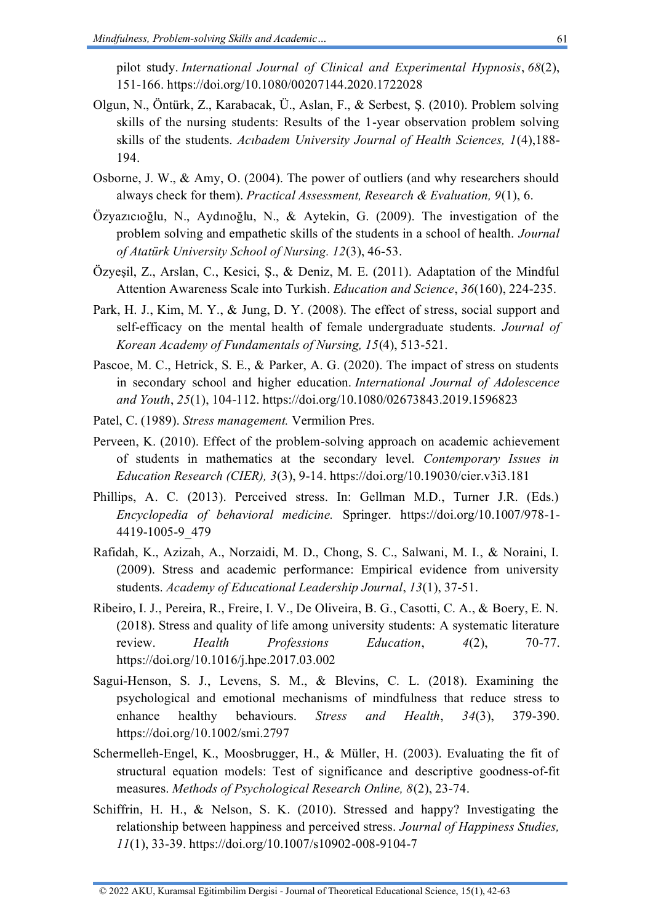pilot study. *International Journal of Clinical and Experimental Hypnosis*, *68*(2), 151-166. <https://doi.org/10.1080/00207144.2020.1722028>

- Olgun, N., Öntürk, Z., Karabacak, Ü., Aslan, F., & Serbest, Ş. (2010). Problem solving skills of the nursing students: Results of the 1-year observation problem solving skills of the students. *Acıbadem University Journal of Health Sciences, 1*(4),188- 194.
- Osborne, J. W., & Amy, O. (2004). The power of outliers (and why researchers should always check for them). *Practical Assessment, Research & Evaluation, 9*(1), 6.
- Özyazıcıoğlu, N., Aydınoğlu, N., & Aytekin, G. (2009). The investigation of the problem solving and empathetic skills of the students in a school of health. *Journal of Atatürk University School of Nursing. 12*(3), 46-53.
- Özyeşil, Z., Arslan, C., Kesici, Ş., & Deniz, M. E. (2011). Adaptation of the Mindful Attention Awareness Scale into Turkish. *Education and Science*, *36*(160), 224-235.
- Park, H. J., Kim, M. Y., & Jung, D. Y. (2008). The effect of stress, social support and self-efficacy on the mental health of female undergraduate students. *Journal of Korean Academy of Fundamentals of Nursing, 15*(4), 513-521.
- Pascoe, M. C., Hetrick, S. E., & Parker, A. G. (2020). The impact of stress on students in secondary school and higher education. *International Journal of Adolescence and Youth*, *25*(1), 104-112. <https://doi.org/10.1080/02673843.2019.1596823>
- Patel, C. (1989). *Stress management.* Vermilion Pres.
- Perveen, K. (2010). Effect of the problem-solving approach on academic achievement of students in mathematics at the secondary level. *Contemporary Issues in Education Research (CIER), 3*(3), 9-14. <https://doi.org/10.19030/cier.v3i3.181>
- Phillips, A. C. (2013). Perceived stress. In: Gellman M.D., Turner J.R. (Eds.) *Encyclopedia of behavioral medicine.* Springer. [https://doi.org/10.1007/978-1-](https://doi.org/10.1007/978-1-4419-1005-9_479) [4419-1005-9\\_479](https://doi.org/10.1007/978-1-4419-1005-9_479)
- Rafidah, K., Azizah, A., Norzaidi, M. D., Chong, S. C., Salwani, M. I., & Noraini, I. (2009). Stress and academic performance: Empirical evidence from university students. *Academy of Educational Leadership Journal*, *13*(1), 37-51.
- Ribeiro, I. J., Pereira, R., Freire, I. V., De Oliveira, B. G., Casotti, C. A., & Boery, E. N. (2018). Stress and quality of life among university students: A systematic literature review. *Health Professions Education*, *4*(2), 70-77. <https://doi.org/10.1016/j.hpe.2017.03.002>
- Sagui-Henson, S. J., Levens, S. M., & Blevins, C. L. (2018). Examining the psychological and emotional mechanisms of mindfulness that reduce stress to enhance healthy behaviours. *Stress and Health*, *34*(3), 379-390. <https://doi.org/10.1002/smi.2797>
- Schermelleh-Engel, K., Moosbrugger, H., & Müller, H. (2003). Evaluating the fit of structural equation models: Test of significance and descriptive goodness-of-fit measures. *Methods of Psychological Research Online, 8*(2), 23-74.
- Schiffrin, H. H., & Nelson, S. K. (2010). Stressed and happy? Investigating the relationship between happiness and perceived stress. *Journal of Happiness Studies, 11*(1), 33-39. <https://doi.org/10.1007/s10902-008-9104-7>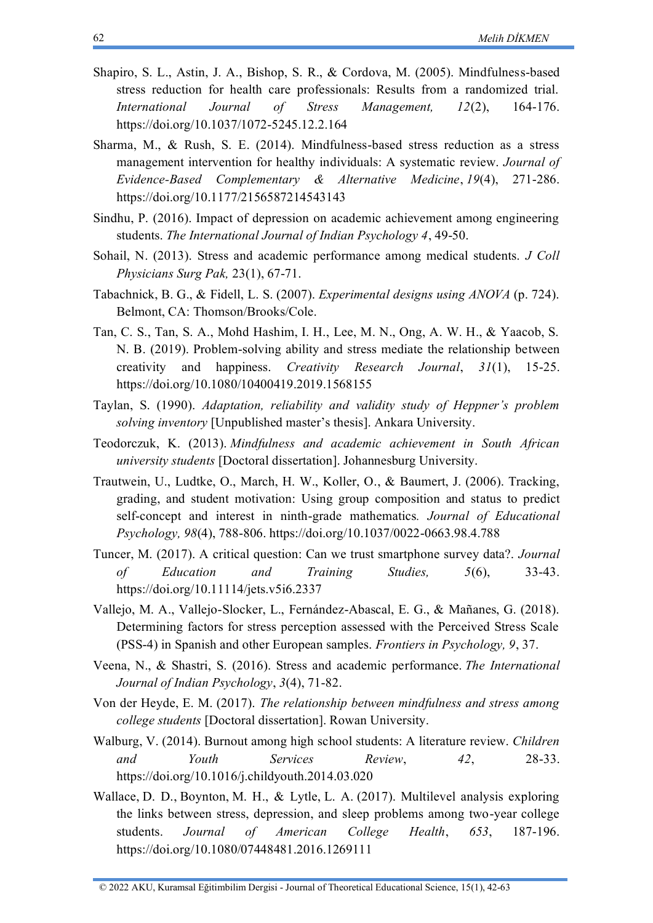- Shapiro, S. L., Astin, J. A., Bishop, S. R., & Cordova, M. (2005). Mindfulness-based stress reduction for health care professionals: Results from a randomized trial. *International Journal of Stress Management, 12*(2), 164-176. <https://doi.org/10.1037/1072-5245.12.2.164>
- Sharma, M., & Rush, S. E. (2014). Mindfulness-based stress reduction as a stress management intervention for healthy individuals: A systematic review. *Journal of Evidence-Based Complementary & Alternative Medicine*, *19*(4), 271-286. <https://doi.org/10.1177/2156587214543143>
- Sindhu, P. (2016). Impact of depression on academic achievement among engineering students. *The International Journal of Indian Psychology 4*, 49-50.
- Sohail, N. (2013). Stress and academic performance among medical students. *J Coll Physicians Surg Pak,* 23(1), 67-71.
- Tabachnick, B. G., & Fidell, L. S. (2007). *Experimental designs using ANOVA* (p. 724). Belmont, CA: Thomson/Brooks/Cole.
- Tan, C. S., Tan, S. A., Mohd Hashim, I. H., Lee, M. N., Ong, A. W. H., & Yaacob, S. N. B. (2019). Problem-solving ability and stress mediate the relationship between creativity and happiness. *Creativity Research Journal*, *31*(1), 15-25. <https://doi.org/10.1080/10400419.2019.1568155>
- Taylan, S. (1990). *Adaptation, reliability and validity study of Heppner's problem solving inventory* [Unpublished master's thesis]. Ankara University.
- Teodorczuk, K. (2013). *Mindfulness and academic achievement in South African university students* [Doctoral dissertation]. Johannesburg University.
- Trautwein, U., Ludtke, O., March, H. W., Koller, O., & Baumert, J. (2006). Tracking, grading, and student motivation: Using group composition and status to predict self-concept and interest in ninth-grade mathematics*. Journal of Educational Psychology, 98*(4), 788-806. <https://doi.org/10.1037/0022-0663.98.4.788>
- Tuncer, M. (2017). A critical question: Can we trust smartphone survey data?. *Journal of Education and Training Studies, 5*(6), 33-43. <https://doi.org/10.11114/jets.v5i6.2337>
- Vallejo, M. A., Vallejo-Slocker, L., Fernández-Abascal, E. G., & Mañanes, G. (2018). Determining factors for stress perception assessed with the Perceived Stress Scale (PSS-4) in Spanish and other European samples. *Frontiers in Psychology, 9*, 37.
- Veena, N., & Shastri, S. (2016). Stress and academic performance. *The International Journal of Indian Psychology*, *3*(4), 71-82.
- Von der Heyde, E. M. (2017). *The relationship between mindfulness and stress among college students* [Doctoral dissertation]. Rowan University.
- Walburg, V. (2014). Burnout among high school students: A literature review. *Children and Youth Services Review*, *42*, 28-33. <https://doi.org/10.1016/j.childyouth.2014.03.020>
- Wallace, D. D., Boynton, M. H., & Lytle, L. A. (2017). Multilevel analysis exploring the links between stress, depression, and sleep problems among two-year college students. *Journal of American College Health*, *653*, 187-196. <https://doi.org/10.1080/07448481.2016.1269111>